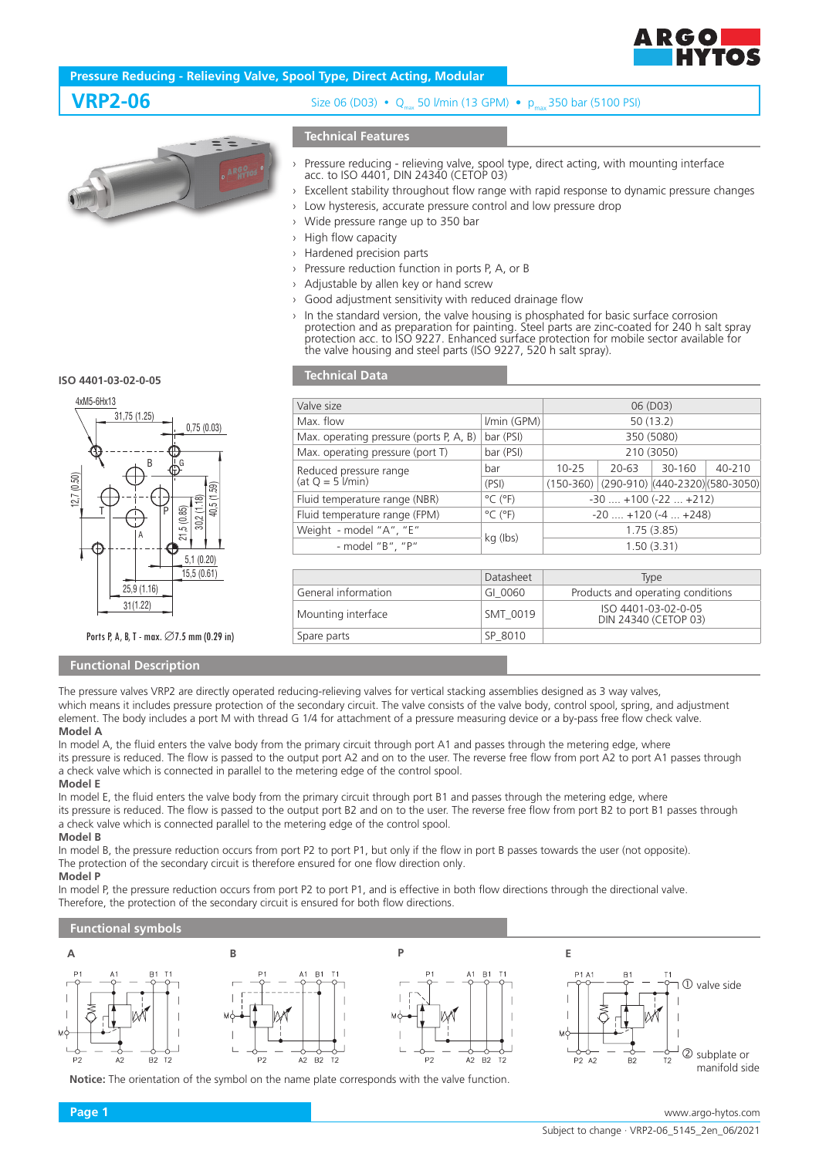

# **Pressure Reducing - Relieving Valve, Spool Type, Direct Acting, Modular**



# **VRP2-06** Size 06 (D03) • Q<sub>max</sub> 50 *Vmin* (13 GPM) • p<sub>max</sub> 350 bar (5100 PSI)

# **Technical Features**

- › Pressure reducing relieving valve, spool type, direct acting, with mounting interface acc. to ISO 4401, DIN 24340 (CETOP 03)
- Excellent stability throughout flow range with rapid response to dynamic pressure changes
- › Low hysteresis, accurate pressure control and low pressure drop
- Wide pressure range up to 350 bar
- › High flow capacity
- Hardened precision parts
- Pressure reduction function in ports P, A, or B
- Adjustable by allen key or hand screw
- Good adjustment sensitivity with reduced drainage flow
- › In the standard version, the valve housing is phosphated for basic surface corrosion protection and as preparation for painting. Steel parts are zinc-coated for 240 h salt spray protection acc. to ISO 9227. Enhanced surface protection for mobile sector available for the valve housing and steel parts (ISO 9227, 520 h salt spray).

**ISO 4401-03-02-0-05** 



### Ports P, A, B, T - max.  $\varnothing$ 7.5 mm (0.29 in)

## **Functional Description**

# **Technical Data**

| Valve size                                    |                              | 06 (D03)                                    |       |        |                                             |
|-----------------------------------------------|------------------------------|---------------------------------------------|-------|--------|---------------------------------------------|
| Max. flow                                     | I/min (GPM)                  | 50(13.2)                                    |       |        |                                             |
| Max. operating pressure (ports P, A, B)       | bar (PSI)                    | 350 (5080)                                  |       |        |                                             |
| Max. operating pressure (port T)              | bar (PSI)                    | 210 (3050)                                  |       |        |                                             |
| Reduced pressure range<br>$(at Q = 5$ $Vmin)$ | bar                          | $10 - 25$                                   | 20-63 | 30-160 | 40-210                                      |
|                                               | (PSI)                        |                                             |       |        | $(150-360)$ (290-910) (440-2320) (580-3050) |
| Fluid temperature range (NBR)                 | $^{\circ}$ C ( $^{\circ}$ F) | $-30$ $+100$ ( $-22$ $+212$ )               |       |        |                                             |
| Fluid temperature range (FPM)                 | $^{\circ}$ C ( $^{\circ}$ F) | $-20$ $+120$ ( $-4$ $+248$ )                |       |        |                                             |
| Weight - model "A", "E"                       |                              | 1.75(3.85)                                  |       |        |                                             |
| - model "B", "P"                              | kg (lbs)                     | 1.50(3.31)                                  |       |        |                                             |
|                                               |                              |                                             |       |        |                                             |
|                                               | Datasheet                    | Type                                        |       |        |                                             |
| General information                           | GI 0060                      | Products and operating conditions           |       |        |                                             |
| Mounting interface                            | SMT 0019                     | ISO 4401-03-02-0-05<br>DIN 24340 (CETOP 03) |       |        |                                             |
| Spare parts                                   | SP 8010                      |                                             |       |        |                                             |

The pressure valves VRP2 are directly operated reducing-relieving valves for vertical stacking assemblies designed as 3 way valves. which means it includes pressure protection of the secondary circuit. The valve consists of the valve body, control spool, spring, and adjustment element. The body includes a port M with thread G 1/4 for attachment of a pressure measuring device or a by-pass free flow check valve.

### **Model A**

In model A, the fluid enters the valve body from the primary circuit through port A1 and passes through the metering edge, where its pressure is reduced. The flow is passed to the output port A2 and on to the user. The reverse free flow from port A2 to port A1 passes through a check valve which is connected in parallel to the metering edge of the control spool.

### **Model E**

In model E, the fluid enters the valve body from the primary circuit through port B1 and passes through the metering edge, where its pressure is reduced. The flow is passed to the output port B2 and on to the user. The reverse free flow from port B2 to port B1 passes through a check valve which is connected parallel to the metering edge of the control spool.

# **Model B**

In model B, the pressure reduction occurs from port P2 to port P1, but only if the flow in port B passes towards the user (not opposite). The protection of the secondary circuit is therefore ensured for one flow direction only.

### **Model P**

In model P, the pressure reduction occurs from port P2 to port P1, and is effective in both flow directions through the directional valve. Therefore, the protection of the secondary circuit is ensured for both flow directions.

### **Functional symbols**



**Notice:** The orientation of the symbol on the name plate corresponds with the valve function.